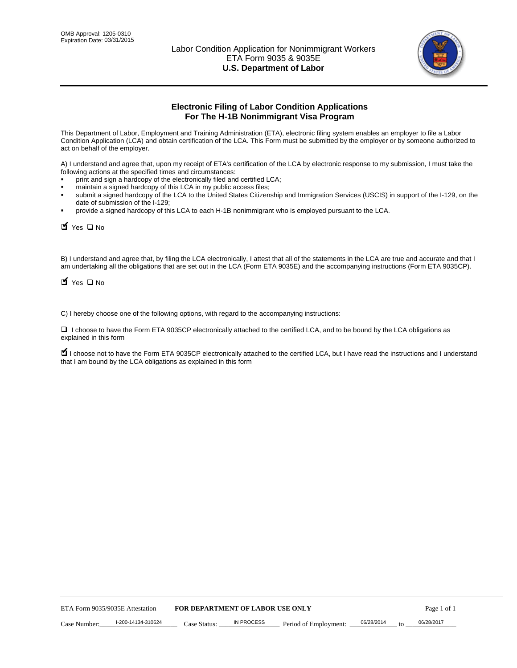

# **Electronic Filing of Labor Condition Applications For The H-1B Nonimmigrant Visa Program**

This Department of Labor, Employment and Training Administration (ETA), electronic filing system enables an employer to file a Labor Condition Application (LCA) and obtain certification of the LCA. This Form must be submitted by the employer or by someone authorized to act on behalf of the employer.

A) I understand and agree that, upon my receipt of ETA's certification of the LCA by electronic response to my submission, I must take the following actions at the specified times and circumstances:

- print and sign a hardcopy of the electronically filed and certified LCA;
- maintain a signed hardcopy of this LCA in my public access files;
- submit a signed hardcopy of the LCA to the United States Citizenship and Immigration Services (USCIS) in support of the I-129, on the date of submission of the I-129;
- provide a signed hardcopy of this LCA to each H-1B nonimmigrant who is employed pursuant to the LCA.

| Yes O No                                                         |                    |                                  |                   |                                                                                                                                                                                                                                                                                    |            |                  |             |
|------------------------------------------------------------------|--------------------|----------------------------------|-------------------|------------------------------------------------------------------------------------------------------------------------------------------------------------------------------------------------------------------------------------------------------------------------------------|------------|------------------|-------------|
| $\blacksquare$ Yes $\square$ No                                  |                    |                                  |                   | B) I understand and agree that, by filing the LCA electronically, I attest that all of the statements in the LCA are true and accurate and th<br>am undertaking all the obligations that are set out in the LCA (Form ETA 9035E) and the accompanying instructions (Form ETA 9035C |            |                  |             |
|                                                                  |                    |                                  |                   | C) I hereby choose one of the following options, with regard to the accompanying instructions:                                                                                                                                                                                     |            |                  |             |
| explained in this form                                           |                    |                                  |                   | □ I choose to have the Form ETA 9035CP electronically attached to the certified LCA, and to be bound by the LCA obligations as                                                                                                                                                     |            |                  |             |
| that I am bound by the LCA obligations as explained in this form |                    |                                  |                   | I choose not to have the Form ETA 9035CP electronically attached to the certified LCA, but I have read the instructions and I unders                                                                                                                                               |            |                  |             |
|                                                                  |                    |                                  |                   |                                                                                                                                                                                                                                                                                    |            |                  |             |
|                                                                  |                    |                                  |                   |                                                                                                                                                                                                                                                                                    |            |                  |             |
|                                                                  |                    |                                  |                   |                                                                                                                                                                                                                                                                                    |            |                  |             |
|                                                                  |                    |                                  |                   |                                                                                                                                                                                                                                                                                    |            |                  |             |
|                                                                  |                    |                                  |                   |                                                                                                                                                                                                                                                                                    |            |                  |             |
|                                                                  |                    |                                  |                   |                                                                                                                                                                                                                                                                                    |            |                  |             |
|                                                                  |                    |                                  |                   |                                                                                                                                                                                                                                                                                    |            |                  |             |
|                                                                  |                    |                                  |                   |                                                                                                                                                                                                                                                                                    |            |                  |             |
|                                                                  |                    |                                  |                   |                                                                                                                                                                                                                                                                                    |            |                  |             |
|                                                                  |                    |                                  |                   |                                                                                                                                                                                                                                                                                    |            |                  |             |
| ETA Form 9035/9035E Attestation                                  |                    | FOR DEPARTMENT OF LABOR USE ONLY |                   |                                                                                                                                                                                                                                                                                    |            |                  | Page 1 of 1 |
| Case Number:                                                     | I-200-14134-310624 | Case Status:                     | <b>IN PROCESS</b> | Period of Employment:                                                                                                                                                                                                                                                              | 06/28/2014 | 06/28/2017<br>to |             |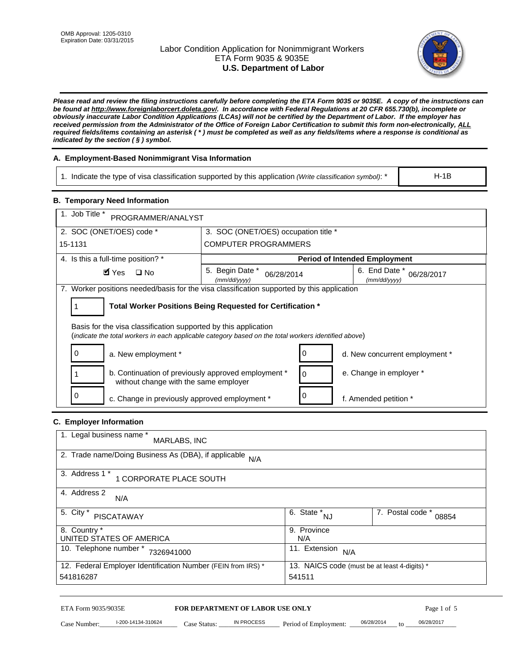# Labor Condition Application for Nonimmigrant Workers ETA Form 9035 & 9035E **U.S. Department of Labor**



*Please read and review the filing instructions carefully before completing the ETA Form 9035 or 9035E. A copy of the instructions can be found at http://www.foreignlaborcert.doleta.gov/. In accordance with Federal Regulations at 20 CFR 655.730(b), incomplete or obviously inaccurate Labor Condition Applications (LCAs) will not be certified by the Department of Labor. If the employer has received permission from the Administrator of the Office of Foreign Labor Certification to submit this form non-electronically, ALL required fields/items containing an asterisk ( \* ) must be completed as well as any fields/items where a response is conditional as indicated by the section ( § ) symbol.* 

# **A. Employment-Based Nonimmigrant Visa Information**

1. Indicate the type of visa classification supported by this application *(Write classification symbol)*: \*

# **B. Temporary Need Information**

| 1. Indicate the type of visa classification supported by this application (Write classification symbol): *                                                              |                                                       |                                                 |                                              | $H-1B$                    |
|-------------------------------------------------------------------------------------------------------------------------------------------------------------------------|-------------------------------------------------------|-------------------------------------------------|----------------------------------------------|---------------------------|
| <b>B. Temporary Need Information</b>                                                                                                                                    |                                                       |                                                 |                                              |                           |
| 1. Job Title *<br>PROGRAMMER/ANALYST                                                                                                                                    |                                                       |                                                 |                                              |                           |
| 2. SOC (ONET/OES) code *                                                                                                                                                | 3. SOC (ONET/OES) occupation title *                  |                                                 |                                              |                           |
| 15-1131                                                                                                                                                                 | <b>COMPUTER PROGRAMMERS</b>                           |                                                 |                                              |                           |
| 4. Is this a full-time position? *                                                                                                                                      |                                                       |                                                 | <b>Period of Intended Employment</b>         |                           |
| $\blacksquare$ Yes<br>$\square$ No                                                                                                                                      | 5. Begin Date *<br>06/28/2014<br>(mm/dd/yyyy)         |                                                 | 6. End Date *<br>(mm/dd/yyyy)                | 06/28/2017                |
| 7. Worker positions needed/basis for the visa classification supported by this application                                                                              |                                                       |                                                 |                                              |                           |
| Total Worker Positions Being Requested for Certification *<br>1                                                                                                         |                                                       |                                                 |                                              |                           |
| Basis for the visa classification supported by this application<br>(indicate the total workers in each applicable category based on the total workers identified above) |                                                       |                                                 |                                              |                           |
| 0<br>a. New employment *                                                                                                                                                |                                                       | 0                                               | d. New concurrent employment *               |                           |
| b. Continuation of previously approved employment *<br>without change with the same employer                                                                            |                                                       | 0                                               | e. Change in employer *                      |                           |
| 0<br>c. Change in previously approved employment *                                                                                                                      | 0                                                     | f. Amended petition *                           |                                              |                           |
| C. Employer Information                                                                                                                                                 |                                                       |                                                 |                                              |                           |
| 1. Legal business name *<br>MARLABS, INC                                                                                                                                |                                                       |                                                 |                                              |                           |
| 2. Trade name/Doing Business As (DBA), if applicable N/A                                                                                                                |                                                       |                                                 |                                              |                           |
| 3. Address 1 *<br>1 CORPORATE PLACE SOUTH                                                                                                                               |                                                       |                                                 |                                              |                           |
| 4. Address 2<br>N/A                                                                                                                                                     |                                                       |                                                 |                                              |                           |
| 5. City *<br><b>PISCATAWAY</b>                                                                                                                                          |                                                       | $\overline{6. \quad \text{State}}^*_{\quad NJ}$ |                                              | 7. Postal code *<br>08854 |
| 8. Country *<br>UNITED STATES OF AMERICA                                                                                                                                |                                                       | 9. Province<br>N/A                              |                                              |                           |
| 10. Telephone number * 7326941000                                                                                                                                       |                                                       | 11. Extension $N/A$                             |                                              |                           |
| 12. Federal Employer Identification Number (FEIN from IRS) *<br>541816287                                                                                               |                                                       | 541511                                          | 13. NAICS code (must be at least 4-digits) * |                           |
|                                                                                                                                                                         |                                                       |                                                 |                                              |                           |
| ETA Form 9035/9035E<br>I-200-14134-310624<br>Case Number:<br>$Case$ Status:                                                                                             | <b>FOR DEPARTMENT OF LABOR USE ONLY</b><br>IN PROCESS | Period of Employment:                           | 06/28/2014                                   | Page 1 of 5<br>06/28/2017 |

# **C. Employer Information**

| 1. Legal business name *<br>MARLABS, INC                     |                                              |                           |
|--------------------------------------------------------------|----------------------------------------------|---------------------------|
| 2. Trade name/Doing Business As (DBA), if applicable N/A     |                                              |                           |
| 3. Address 1 *<br>1 CORPORATE PLACE SOUTH                    |                                              |                           |
| 4. Address 2<br>N/A                                          |                                              |                           |
| 5. City *<br><b>PISCATAWAY</b>                               | 6. State *<br><b>NJ</b>                      | 7. Postal code *<br>08854 |
| 8. Country *                                                 | 9. Province                                  |                           |
| UNITED STATES OF AMERICA                                     | N/A                                          |                           |
| 10. Telephone number *<br>7326941000                         | 11. Extension<br>N/A                         |                           |
| 12. Federal Employer Identification Number (FEIN from IRS) * | 13. NAICS code (must be at least 4-digits) * |                           |
| 541816287                                                    | 541511                                       |                           |

# ETA Form 9035/9035E **FOR DEPARTMENT OF LABOR USE ONLY** Page 1 of 5<br>Case Number: 1-200-14134-310624 Case Status: IN PROCESS Period of Employment: 06/28/2014 to 06/28/2017

Case Number: 1-200-14134-310624 Case Status: IN PROCESS Period of Employment: 06/28/2014 to 06/28/2017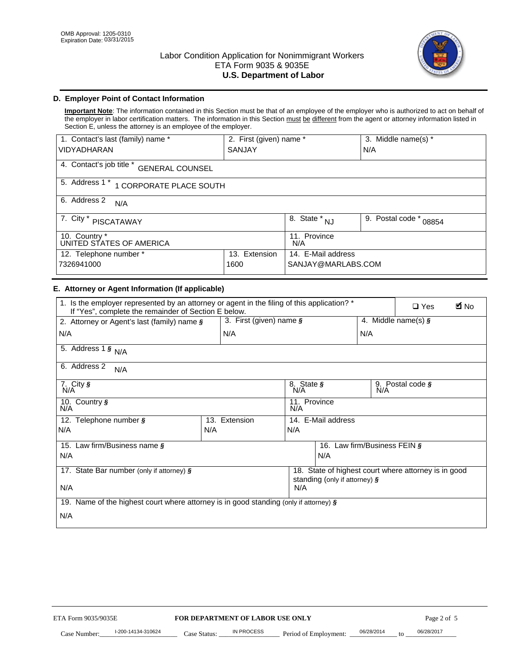

# **D. Employer Point of Contact Information**

**Important Note**: The information contained in this Section must be that of an employee of the employer who is authorized to act on behalf of the employer in labor certification matters. The information in this Section must be different from the agent or attorney information listed in Section E, unless the attorney is an employee of the employer.

| 1. Contact's last (family) name *                  | 2. First (given) name * |                                   | 3. Middle name(s) *       |  |  |
|----------------------------------------------------|-------------------------|-----------------------------------|---------------------------|--|--|
| <b>VIDYADHARAN</b>                                 | <b>SANJAY</b>           |                                   | N/A                       |  |  |
| 4. Contact's job title *<br><b>GENERAL COUNSEL</b> |                         |                                   |                           |  |  |
| 5. Address 1 *<br>1 CORPORATE PLACE SOUTH          |                         |                                   |                           |  |  |
| 6. Address 2<br>N/A                                |                         |                                   |                           |  |  |
| 7. City $*$<br><b>PISCATAWAY</b>                   |                         | $8. \overline{\text{State}}^*$ NJ | 9. Postal code *<br>08854 |  |  |
| 10. Country *<br>UNITED STATES OF AMERICA          |                         | 11. Province<br>N/A               |                           |  |  |
| 12. Telephone number *<br>Extension<br>13.         |                         | 14. E-Mail address                |                           |  |  |
| 7326941000<br>1600                                 |                         | SANJAY@MARLABS.COM                |                           |  |  |

# **E. Attorney or Agent Information (If applicable)**

|                                                                                                                                                     | SANJAY                  |                     |                                           | N/A              |                                                      |             |
|-----------------------------------------------------------------------------------------------------------------------------------------------------|-------------------------|---------------------|-------------------------------------------|------------------|------------------------------------------------------|-------------|
| 4. Contact's job title * GENERAL COUNSEL                                                                                                            |                         |                     |                                           |                  |                                                      |             |
| 5. Address 1 * 1 CORPORATE PLACE SOUTH                                                                                                              |                         |                     |                                           |                  |                                                      |             |
| 6. Address 2<br>N/A                                                                                                                                 |                         |                     |                                           |                  |                                                      |             |
| 7. City * PISCATAWAY                                                                                                                                |                         |                     | $\overline{\phantom{a}}$ 8. State $^*$ NJ | 9. Postal code * | 08854                                                |             |
| 10. Country *<br>UNITED STATES OF AMERICA                                                                                                           |                         | 11. Province<br>N/A |                                           |                  |                                                      |             |
| 12. Telephone number *<br>7326941000                                                                                                                | 13. Extension<br>1600   |                     | 14. E-Mail address<br>SANJAY@MARLABS.COM  |                  |                                                      |             |
| E. Attorney or Agent Information (If applicable)                                                                                                    |                         |                     |                                           |                  |                                                      |             |
| 1. Is the employer represented by an attorney or agent in the filing of this application? *<br>If "Yes", complete the remainder of Section E below. |                         |                     |                                           |                  | $\Box$ Yes                                           | <b>A</b> No |
| 2. Attorney or Agent's last (family) name §                                                                                                         | 3. First (given) name § |                     |                                           |                  | 4. Middle name(s) $\sqrt{s}$                         |             |
| N/A                                                                                                                                                 | N/A                     |                     |                                           | N/A              |                                                      |             |
| 5. Address 1 $\frac{1}{9}$ N/A                                                                                                                      |                         |                     |                                           |                  |                                                      |             |
| 6. Address 2<br>N/A                                                                                                                                 |                         |                     |                                           |                  |                                                      |             |
| 7. City §<br>N/A                                                                                                                                    |                         | 8. State §<br>N/A   |                                           |                  | 9. Postal code §                                     |             |
| 10. Country §<br>N/A                                                                                                                                |                         | 11. Province<br>N/A |                                           |                  |                                                      |             |
| 12. Telephone number §                                                                                                                              | 13. Extension           |                     | 14. E-Mail address                        |                  |                                                      |             |
| N/A                                                                                                                                                 | N/A                     | N/A                 |                                           |                  |                                                      |             |
| 15. Law firm/Business name §<br>N/A                                                                                                                 |                         |                     | 16. Law firm/Business FEIN §<br>N/A       |                  |                                                      |             |
|                                                                                                                                                     |                         |                     |                                           |                  |                                                      |             |
| 17. State Bar number (only if attorney) §                                                                                                           |                         |                     | standing (only if attorney) §             |                  | 18. State of highest court where attorney is in good |             |
| N/A                                                                                                                                                 |                         | N/A                 |                                           |                  |                                                      |             |
|                                                                                                                                                     |                         |                     |                                           |                  |                                                      |             |
| N/A                                                                                                                                                 |                         |                     |                                           |                  |                                                      |             |
| 19. Name of the highest court where attorney is in good standing (only if attorney) §                                                               |                         |                     |                                           |                  |                                                      |             |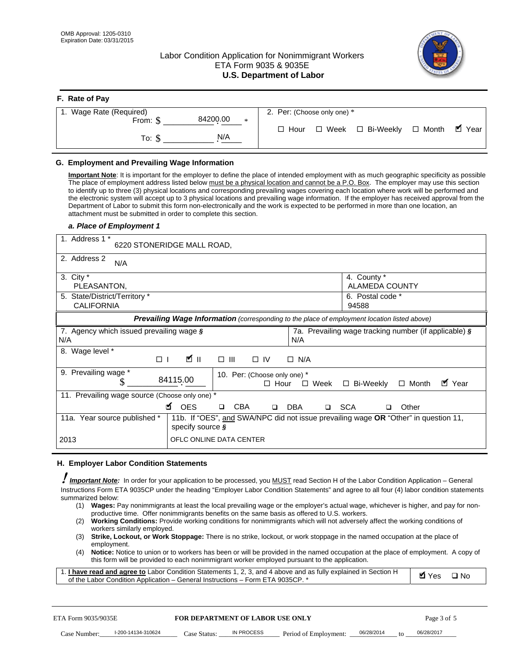# Labor Condition Application for Nonimmigrant Workers ETA Form 9035 & 9035E **U.S. Department of Labor**



| F. Rate of Pay                 |                                           |
|--------------------------------|-------------------------------------------|
| 1. Wage Rate (Required)        | 2. Per: (Choose only one) *               |
| 84200.00<br>From: \$<br>$\ast$ | ■ Year                                    |
| N/A<br>To: \$                  | □ Week □ Bi-Weekly □ Month<br>$\Box$ Hour |

### **G. Employment and Prevailing Wage Information**

#### *a. Place of Employment 1*

| From: \$<br>To: $$$                                                                                                                                                                                                                                                                                                                                                                                                                                                                                                                                                                                                                                                                                                                                                                                                                                                                                            | 84200.00<br>*<br>N/A                                                                                                                                                                                                                                                                                                                                                                                                                                                                                                                                                                                                                                                                                                              | $\Box$ Hour<br>$\square$ Week                                                                              | $\Box$ Bi-Weekly                                           | $\blacksquare$ Year<br>$\Box$ Month |
|----------------------------------------------------------------------------------------------------------------------------------------------------------------------------------------------------------------------------------------------------------------------------------------------------------------------------------------------------------------------------------------------------------------------------------------------------------------------------------------------------------------------------------------------------------------------------------------------------------------------------------------------------------------------------------------------------------------------------------------------------------------------------------------------------------------------------------------------------------------------------------------------------------------|-----------------------------------------------------------------------------------------------------------------------------------------------------------------------------------------------------------------------------------------------------------------------------------------------------------------------------------------------------------------------------------------------------------------------------------------------------------------------------------------------------------------------------------------------------------------------------------------------------------------------------------------------------------------------------------------------------------------------------------|------------------------------------------------------------------------------------------------------------|------------------------------------------------------------|-------------------------------------|
| G. Employment and Prevailing Wage Information<br>Important Note: It is important for the employer to define the place of intended employment with as much geographic specificity as possible<br>The place of employment address listed below must be a physical location and cannot be a P.O. Box. The employer may use this section<br>to identify up to three (3) physical locations and corresponding prevailing wages covering each location where work will be performed and<br>the electronic system will accept up to 3 physical locations and prevailing wage information. If the employer has received approval from the<br>Department of Labor to submit this form non-electronically and the work is expected to be performed in more than one location, an<br>attachment must be submitted in order to complete this section.<br>a. Place of Employment 1<br>1. Address 1 *<br>2. Address 2<br>N/A | 6220 STONERIDGE MALL ROAD,                                                                                                                                                                                                                                                                                                                                                                                                                                                                                                                                                                                                                                                                                                        |                                                                                                            |                                                            |                                     |
| 3. City $*$<br>PLEASANTON,<br>5. State/District/Territory *<br><b>CALIFORNIA</b>                                                                                                                                                                                                                                                                                                                                                                                                                                                                                                                                                                                                                                                                                                                                                                                                                               |                                                                                                                                                                                                                                                                                                                                                                                                                                                                                                                                                                                                                                                                                                                                   |                                                                                                            | 4. County *<br>ALAMEDA COUNTY<br>6. Postal code *<br>94588 |                                     |
| 7. Agency which issued prevailing wage $\boldsymbol{\S}$<br>N/A<br>8. Wage level *                                                                                                                                                                                                                                                                                                                                                                                                                                                                                                                                                                                                                                                                                                                                                                                                                             | Prevailing Wage Information (corresponding to the place of employment location listed above)                                                                                                                                                                                                                                                                                                                                                                                                                                                                                                                                                                                                                                      | N/A                                                                                                        | 7a. Prevailing wage tracking number (if applicable) §      |                                     |
| $\Box$<br>9. Prevailing wage *<br>\$<br>11. Prevailing wage source (Choose only one) *<br>11a. Year source published *<br>2013                                                                                                                                                                                                                                                                                                                                                                                                                                                                                                                                                                                                                                                                                                                                                                                 | <b>M</b><br>$\Box$ $\Box$<br>84115.00<br><b>¤</b> OES<br>CBA<br>$\Box$<br>11b. If "OES", and SWA/NPC did not issue prevailing wage OR "Other" in question 11,<br>specify source $\boldsymbol{\S}$<br>OFLC ONLINE DATA CENTER                                                                                                                                                                                                                                                                                                                                                                                                                                                                                                      | $\Box$ IV<br>$\Box$ N/A<br>10. Per: (Choose only one) *<br>$\Box$ Hour<br>□ Week<br>□ SCA<br>DBA<br>$\Box$ | □ Bi-Weekly<br>□                                           | ■ Year<br>$\Box$ Month<br>Other     |
| H. Employer Labor Condition Statements<br>I Important Note: In order for your application to be processed, you MUST read Section H of the Labor Condition Application – General<br>Instructions Form ETA 9035CP under the heading "Employer Labor Condition Statements" and agree to all four (4) labor condition statements<br>summarized below:<br>(2)<br>workers similarly employed.<br>(3)<br>employment.<br>(4)<br>1. I have read and agree to Labor Condition Statements 1, 2, 3, and 4 above and as fully explained in Section H<br>of the Labor Condition Application - General Instructions - Form ETA 9035CP. *                                                                                                                                                                                                                                                                                      | (1) Wages: Pay nonimmigrants at least the local prevailing wage or the employer's actual wage, whichever is higher, and pay for non-<br>productive time. Offer nonimmigrants benefits on the same basis as offered to U.S. workers.<br>Working Conditions: Provide working conditions for nonimmigrants which will not adversely affect the working conditions of<br>Strike, Lockout, or Work Stoppage: There is no strike, lockout, or work stoppage in the named occupation at the place of<br>Notice: Notice to union or to workers has been or will be provided in the named occupation at the place of employment. A copy of<br>this form will be provided to each nonimmigrant worker employed pursuant to the application. |                                                                                                            |                                                            | <b>Ø</b> Yes<br>$\square$ No        |
| ETA Form 9035/9035E<br>I-200-14134-310624<br>Case Number:                                                                                                                                                                                                                                                                                                                                                                                                                                                                                                                                                                                                                                                                                                                                                                                                                                                      | <b>FOR DEPARTMENT OF LABOR USE ONLY</b><br>IN PROCESS<br>Case Status:                                                                                                                                                                                                                                                                                                                                                                                                                                                                                                                                                                                                                                                             | Period of Employment:                                                                                      | 06/28/2014                                                 | Page 3 of 5<br>06/28/2017           |

#### **H. Employer Labor Condition Statements**

- (1) **Wages:** Pay nonimmigrants at least the local prevailing wage or the employer's actual wage, whichever is higher, and pay for nonproductive time. Offer nonimmigrants benefits on the same basis as offered to U.S. workers.
- (2) **Working Conditions:** Provide working conditions for nonimmigrants which will not adversely affect the working conditions of workers similarly employed.
- (3) **Strike, Lockout, or Work Stoppage:** There is no strike, lockout, or work stoppage in the named occupation at the place of employment.
- (4) **Notice:** Notice to union or to workers has been or will be provided in the named occupation at the place of employment. A copy of this form will be provided to each nonimmigrant worker employed pursuant to the application.

| 1. I have read and agree to Labor Condition Statements 1, 2, 3, and 4 above and as fully explained in Section H | Myes ⊡No |  |
|-----------------------------------------------------------------------------------------------------------------|----------|--|
| of the Labor Condition Application – General Instructions – Form ETA 9035CP. *                                  |          |  |

| ETA Form 9035/9035E |                    | <b>FOR DEPARTMENT OF LABOR USE ONLY</b> |            |                       |            |                 | Page 3 of 5 |
|---------------------|--------------------|-----------------------------------------|------------|-----------------------|------------|-----------------|-------------|
| Case Number:        | l-200-14134-310624 | Case Status:                            | IN PROCESS | Period of Employment: | 06/28/2014 | 10 <sup>1</sup> | 06/28/2017  |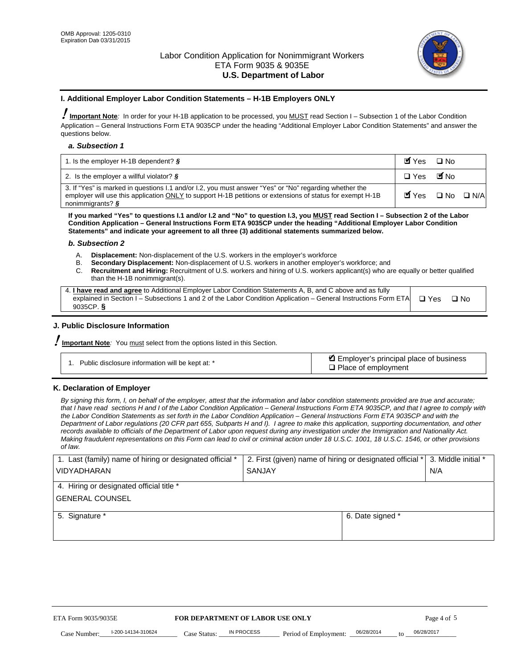

#### **I. Additional Employer Labor Condition Statements – H-1B Employers ONLY**

!**Important Note***:* In order for your H-1B application to be processed, you MUST read Section I – Subsection 1 of the Labor Condition Application – General Instructions Form ETA 9035CP under the heading "Additional Employer Labor Condition Statements" and answer the questions below.

#### *a. Subsection 1*

| 1. Is the employer H-1B dependent? $\S$                                                                                                                                                                                                 | Myes                                          | $\Box$ No              |  |
|-----------------------------------------------------------------------------------------------------------------------------------------------------------------------------------------------------------------------------------------|-----------------------------------------------|------------------------|--|
| 2. Is the employer a willful violator? $\frac{1}{2}$                                                                                                                                                                                    | $\Box$ Yes                                    | <b>M</b> <sub>No</sub> |  |
| 3. If "Yes" is marked in questions 1.1 and/or 1.2, you must answer "Yes" or "No" regarding whether the<br>employer will use this application ONLY to support H-1B petitions or extensions of status for exempt H-1B<br>nonimmigrants? § | $\blacksquare$ Yes $\square$ No $\square$ N/A |                        |  |

**If you marked "Yes" to questions I.1 and/or I.2 and "No" to question I.3, you MUST read Section I – Subsection 2 of the Labor Condition Application – General Instructions Form ETA 9035CP under the heading "Additional Employer Labor Condition Statements" and indicate your agreement to all three (3) additional statements summarized below.** 

#### *b. Subsection 2*

- A. **Displacement:** Non-displacement of the U.S. workers in the employer's workforce
- B. **Secondary Displacement:** Non-displacement of U.S. workers in another employer's workforce; and
- C. **Recruitment and Hiring:** Recruitment of U.S. workers and hiring of U.S. workers applicant(s) who are equally or better qualified than the H-1B nonimmigrant(s).

| 4. I have read and agree to Additional Employer Labor Condition Statements A, B, and C above and as fully                  |      |
|----------------------------------------------------------------------------------------------------------------------------|------|
| explained in Section I – Subsections 1 and 2 of the Labor Condition Application – General Instructions Form ETA $\Box$ Yes | ∩ N∩ |
| 9035CP. $\delta$                                                                                                           |      |

# **J. Public Disclosure Information**

!**Important Note***:* You must select from the options listed in this Section.

| Public disclosure information will be kept at: * | Employer's principal place of business<br>$\Box$ Place of employment |
|--------------------------------------------------|----------------------------------------------------------------------|
|--------------------------------------------------|----------------------------------------------------------------------|

#### **K. Declaration of Employer**

*By signing this form, I, on behalf of the employer, attest that the information and labor condition statements provided are true and accurate;*  that I have read sections H and I of the Labor Condition Application – General Instructions Form ETA 9035CP, and that I agree to comply with *the Labor Condition Statements as set forth in the Labor Condition Application – General Instructions Form ETA 9035CP and with the Department of Labor regulations (20 CFR part 655, Subparts H and I). I agree to make this application, supporting documentation, and other records available to officials of the Department of Labor upon request during any investigation under the Immigration and Nationality Act. Making fraudulent representations on this Form can lead to civil or criminal action under 18 U.S.C. 1001, 18 U.S.C. 1546, or other provisions of law.* 

| 1. Last (family) name of hiring or designated official *               | 2. First (given) name of hiring or designated official * | 3. Middle initial *             |            |  |  |  |
|------------------------------------------------------------------------|----------------------------------------------------------|---------------------------------|------------|--|--|--|
| <b>VIDYADHARAN</b>                                                     | <b>SANJAY</b>                                            | N/A                             |            |  |  |  |
| 4. Hiring or designated official title *                               |                                                          |                                 |            |  |  |  |
| <b>GENERAL COUNSEL</b>                                                 |                                                          |                                 |            |  |  |  |
| 5. Signature *                                                         |                                                          | 6. Date signed *                |            |  |  |  |
|                                                                        |                                                          |                                 |            |  |  |  |
|                                                                        |                                                          |                                 |            |  |  |  |
|                                                                        |                                                          |                                 |            |  |  |  |
|                                                                        |                                                          |                                 |            |  |  |  |
|                                                                        |                                                          |                                 |            |  |  |  |
| FOR DEPARTMENT OF LABOR USE ONLY<br>ETA Form 9035/9035E<br>Page 4 of 5 |                                                          |                                 |            |  |  |  |
| I-200-14134-310624<br>Case Status:<br>Case Number:                     | IN PROCESS<br>Period of Employment:                      | 06/28/2014<br>$\mathsf{t} \cap$ | 06/28/2017 |  |  |  |